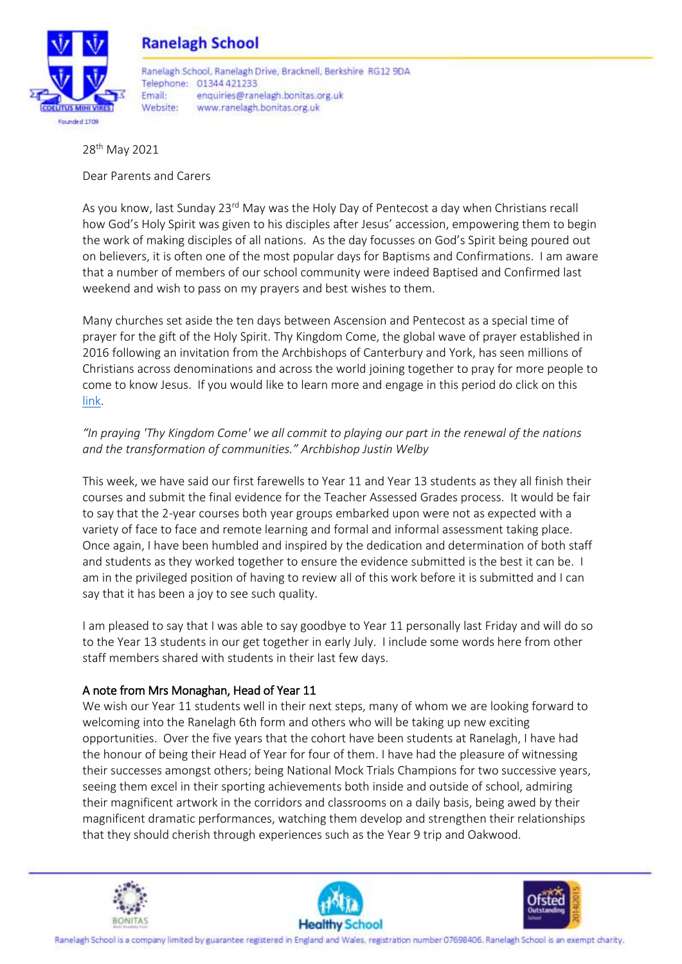

28th May 2021

Dear Parents and Carers

As you know, last Sunday 23<sup>rd</sup> May was the Holy Day of Pentecost a day when Christians recall how God's Holy Spirit was given to his disciples after Jesus' accession, empowering them to begin the work of making disciples of all nations. As the day focusses on God's Spirit being poured out on believers, it is often one of the most popular days for Baptisms and Confirmations. I am aware that a number of members of our school community were indeed Baptised and Confirmed last weekend and wish to pass on my prayers and best wishes to them.

Many churches set aside the ten days between Ascension and Pentecost as a special time of prayer for the gift of the Holy Spirit. Thy Kingdom Come, the global wave of prayer established in 2016 following an invitation from the Archbishops of Canterbury and York, has seen millions of Christians across denominations and across the world joining together to pray for more people to come to know Jesus. If you would like to learn more and engage in this period do click on this [link.](https://www.thykingdomcome.global/)

# *"In praying 'Thy Kingdom Come' we all commit to playing our part in the renewal of the nations and the transformation of communities." Archbishop Justin Welby*

This week, we have said our first farewells to Year 11 and Year 13 students as they all finish their courses and submit the final evidence for the Teacher Assessed Grades process. It would be fair to say that the 2-year courses both year groups embarked upon were not as expected with a variety of face to face and remote learning and formal and informal assessment taking place. Once again, I have been humbled and inspired by the dedication and determination of both staff and students as they worked together to ensure the evidence submitted is the best it can be. I am in the privileged position of having to review all of this work before it is submitted and I can say that it has been a joy to see such quality.

I am pleased to say that I was able to say goodbye to Year 11 personally last Friday and will do so to the Year 13 students in our get together in early July. I include some words here from other staff members shared with students in their last few days.

# A note from Mrs Monaghan, Head of Year 11

We wish our Year 11 students well in their next steps, many of whom we are looking forward to welcoming into the Ranelagh 6th form and others who will be taking up new exciting opportunities. Over the five years that the cohort have been students at Ranelagh, I have had the honour of being their Head of Year for four of them. I have had the pleasure of witnessing their successes amongst others; being National Mock Trials Champions for two successive years, seeing them excel in their sporting achievements both inside and outside of school, admiring their magnificent artwork in the corridors and classrooms on a daily basis, being awed by their magnificent dramatic performances, watching them develop and strengthen their relationships that they should cherish through experiences such as the Year 9 trip and Oakwood.





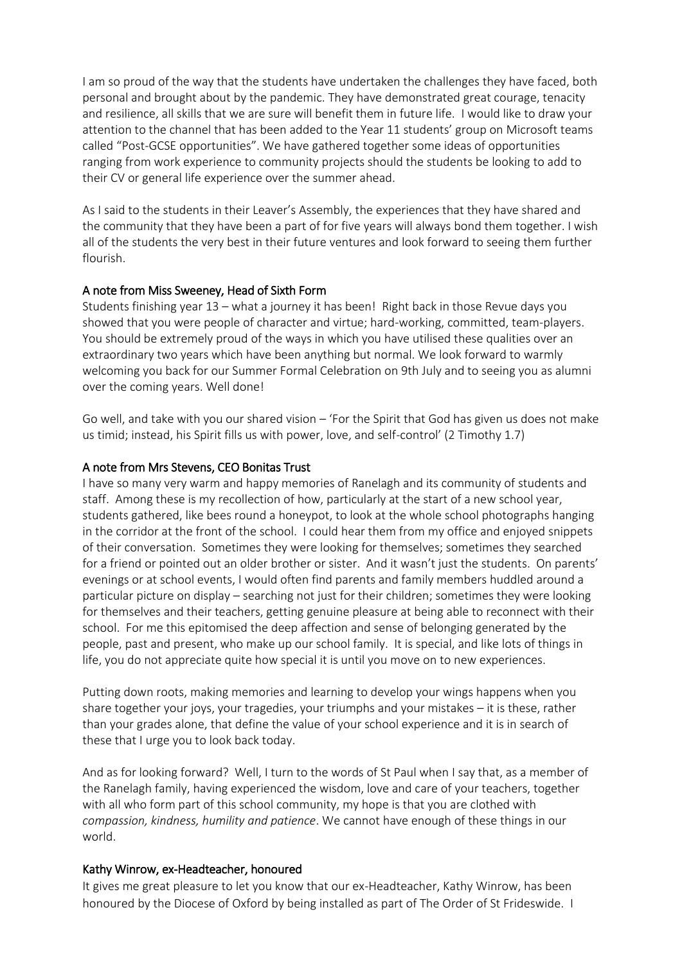I am so proud of the way that the students have undertaken the challenges they have faced, both personal and brought about by the pandemic. They have demonstrated great courage, tenacity and resilience, all skills that we are sure will benefit them in future life. I would like to draw your attention to the channel that has been added to the Year 11 students' group on Microsoft teams called "Post-GCSE opportunities". We have gathered together some ideas of opportunities ranging from work experience to community projects should the students be looking to add to their CV or general life experience over the summer ahead.

As I said to the students in their Leaver's Assembly, the experiences that they have shared and the community that they have been a part of for five years will always bond them together. I wish all of the students the very best in their future ventures and look forward to seeing them further flourish.

## A note from Miss Sweeney, Head of Sixth Form

Students finishing year 13 – what a journey it has been! Right back in those Revue days you showed that you were people of character and virtue; hard-working, committed, team-players. You should be extremely proud of the ways in which you have utilised these qualities over an extraordinary two years which have been anything but normal. We look forward to warmly welcoming you back for our Summer Formal Celebration on 9th July and to seeing you as alumni over the coming years. Well done!

Go well, and take with you our shared vision – 'For the Spirit that God has given us does not make us timid; instead, his Spirit fills us with power, love, and self-control' (2 Timothy 1.7)

#### A note from Mrs Stevens, CEO Bonitas Trust

I have so many very warm and happy memories of Ranelagh and its community of students and staff. Among these is my recollection of how, particularly at the start of a new school year, students gathered, like bees round a honeypot, to look at the whole school photographs hanging in the corridor at the front of the school. I could hear them from my office and enjoyed snippets of their conversation. Sometimes they were looking for themselves; sometimes they searched for a friend or pointed out an older brother or sister. And it wasn't just the students. On parents' evenings or at school events, I would often find parents and family members huddled around a particular picture on display – searching not just for their children; sometimes they were looking for themselves and their teachers, getting genuine pleasure at being able to reconnect with their school. For me this epitomised the deep affection and sense of belonging generated by the people, past and present, who make up our school family. It is special, and like lots of things in life, you do not appreciate quite how special it is until you move on to new experiences.

Putting down roots, making memories and learning to develop your wings happens when you share together your joys, your tragedies, your triumphs and your mistakes – it is these, rather than your grades alone, that define the value of your school experience and it is in search of these that I urge you to look back today.

And as for looking forward? Well, I turn to the words of St Paul when I say that, as a member of the Ranelagh family, having experienced the wisdom, love and care of your teachers, together with all who form part of this school community, my hope is that you are clothed with *compassion, kindness, humility and patience*. We cannot have enough of these things in our world.

#### Kathy Winrow, ex-Headteacher, honoured

It gives me great pleasure to let you know that our ex-Headteacher, Kathy Winrow, has been honoured by the Diocese of Oxford by being installed as part of The Order of St Frideswide. I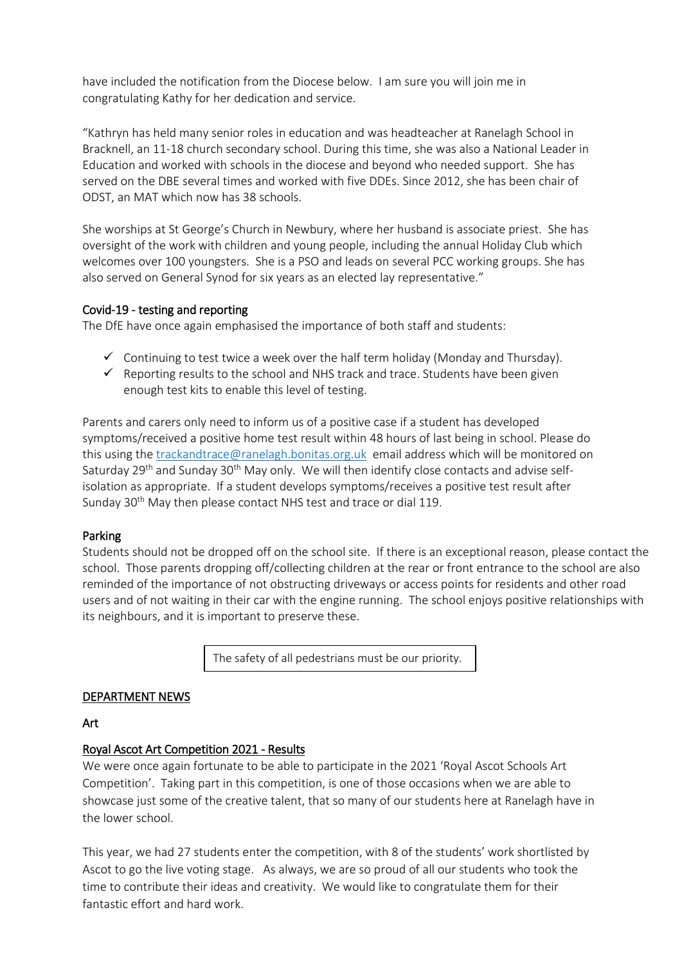have included the notification from the Diocese below. I am sure you will join me in congratulating Kathy for her dedication and service.

"Kathryn has held many senior roles in education and was headteacher at Ranelagh School in Bracknell, an 11-18 church secondary school. During this time, she was also a National Leader in Education and worked with schools in the diocese and beyond who needed support. She has served on the DBE several times and worked with five DDEs. Since 2012, she has been chair of ODST, an MAT which now has 38 schools.

She worships at St George's Church in Newbury, where her husband is associate priest. She has oversight of the work with children and young people, including the annual Holiday Club which welcomes over 100 youngsters. She is a PSO and leads on several PCC working groups. She has also served on General Synod for six years as an elected lay representative."

## Covid-19 - testing and reporting

The DfE have once again emphasised the importance of both staff and students:

- $\checkmark$  Continuing to test twice a week over the half term holiday (Monday and Thursday).
- $\checkmark$  Reporting results to the school and NHS track and trace. Students have been given enough test kits to enable this level of testing.

Parents and carers only need to inform us of a positive case if a student has developed symptoms/received a positive home test result within 48 hours of last being in school. Please do this using the [trackandtrace@ranelagh.bonitas.org.uk](mailto:trackandtrace@ranelagh.bonitas.org.uk) email address which will be monitored on Saturday 29<sup>th</sup> and Sunday 30<sup>th</sup> May only. We will then identify close contacts and advise selfisolation as appropriate. If a student develops symptoms/receives a positive test result after Sunday 30<sup>th</sup> May then please contact NHS test and trace or dial 119.

## Parking

Students should not be dropped off on the school site. If there is an exceptional reason, please contact the school. Those parents dropping off/collecting children at the rear or front entrance to the school are also reminded of the importance of not obstructing driveways or access points for residents and other road users and of not waiting in their car with the engine running. The school enjoys positive relationships with its neighbours, and it is important to preserve these.

The safety of all pedestrians must be our priority.

## DEPARTMENT NEWS

#### Art

## Royal Ascot Art Competition 2021 - Results

We were once again fortunate to be able to participate in the 2021 'Royal Ascot Schools Art Competition'. Taking part in this competition, is one of those occasions when we are able to showcase just some of the creative talent, that so many of our students here at Ranelagh have in the lower school.

This year, we had 27 students enter the competition, with 8 of the students' work shortlisted by Ascot to go the live voting stage. As always, we are so proud of all our students who took the time to contribute their ideas and creativity. We would like to congratulate them for their fantastic effort and hard work.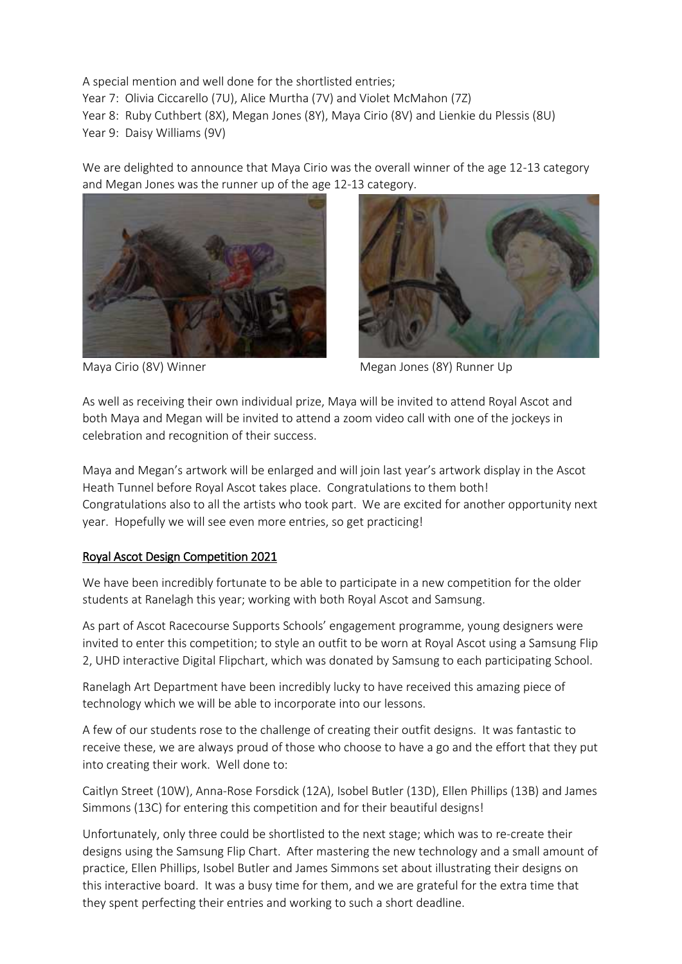A special mention and well done for the shortlisted entries; Year 7: Olivia Ciccarello (7U), Alice Murtha (7V) and Violet McMahon (7Z) Year 8: Ruby Cuthbert (8X), Megan Jones (8Y), Maya Cirio (8V) and Lienkie du Plessis (8U) Year 9: Daisy Williams (9V)

We are delighted to announce that Maya Cirio was the overall winner of the age 12-13 category and Megan Jones was the runner up of the age 12-13 category.





Maya Cirio (8V) Winner Megan Jones (8Y) Runner Up

As well as receiving their own individual prize, Maya will be invited to attend Royal Ascot and both Maya and Megan will be invited to attend a zoom video call with one of the jockeys in celebration and recognition of their success.

Maya and Megan's artwork will be enlarged and will join last year's artwork display in the Ascot Heath Tunnel before Royal Ascot takes place. Congratulations to them both! Congratulations also to all the artists who took part. We are excited for another opportunity next year. Hopefully we will see even more entries, so get practicing!

## Royal Ascot Design Competition 2021

We have been incredibly fortunate to be able to participate in a new competition for the older students at Ranelagh this year; working with both Royal Ascot and Samsung.

As part of Ascot Racecourse Supports Schools' engagement programme, young designers were invited to enter this competition; to style an outfit to be worn at Royal Ascot using a Samsung Flip 2, UHD interactive Digital Flipchart, which was donated by Samsung to each participating School.

Ranelagh Art Department have been incredibly lucky to have received this amazing piece of technology which we will be able to incorporate into our lessons.

A few of our students rose to the challenge of creating their outfit designs. It was fantastic to receive these, we are always proud of those who choose to have a go and the effort that they put into creating their work. Well done to:

Caitlyn Street (10W), Anna-Rose Forsdick (12A), Isobel Butler (13D), Ellen Phillips (13B) and James Simmons (13C) for entering this competition and for their beautiful designs!

Unfortunately, only three could be shortlisted to the next stage; which was to re-create their designs using the Samsung Flip Chart. After mastering the new technology and a small amount of practice, Ellen Phillips, Isobel Butler and James Simmons set about illustrating their designs on this interactive board. It was a busy time for them, and we are grateful for the extra time that they spent perfecting their entries and working to such a short deadline.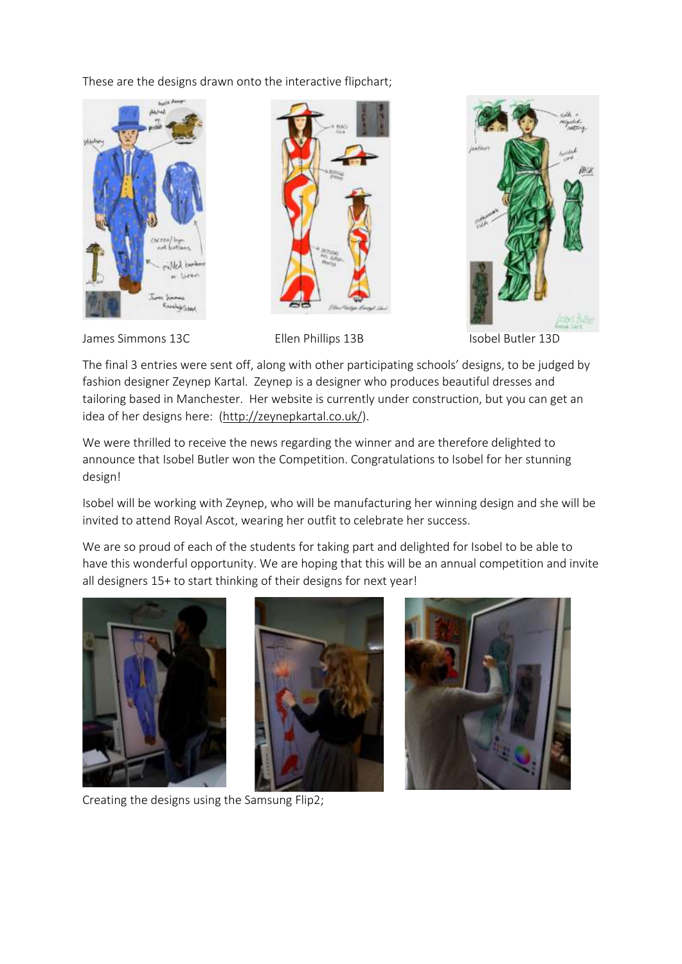These are the designs drawn onto the interactive flipchart;







James Simmons 13C **Ellen Phillips 13B** Isobel Butler 13D

The final 3 entries were sent off, along with other participating schools' designs, to be judged by fashion designer Zeynep Kartal. Zeynep is a designer who produces beautiful dresses and tailoring based in Manchester. Her website is currently under construction, but you can get an idea of her designs here: [\(http://zeynepkartal.co.uk/\)](http://zeynepkartal.co.uk/).

We were thrilled to receive the news regarding the winner and are therefore delighted to announce that Isobel Butler won the Competition. Congratulations to Isobel for her stunning design!

Isobel will be working with Zeynep, who will be manufacturing her winning design and she will be invited to attend Royal Ascot, wearing her outfit to celebrate her success.

We are so proud of each of the students for taking part and delighted for Isobel to be able to have this wonderful opportunity. We are hoping that this will be an annual competition and invite all designers 15+ to start thinking of their designs for next year!







Creating the designs using the Samsung Flip2;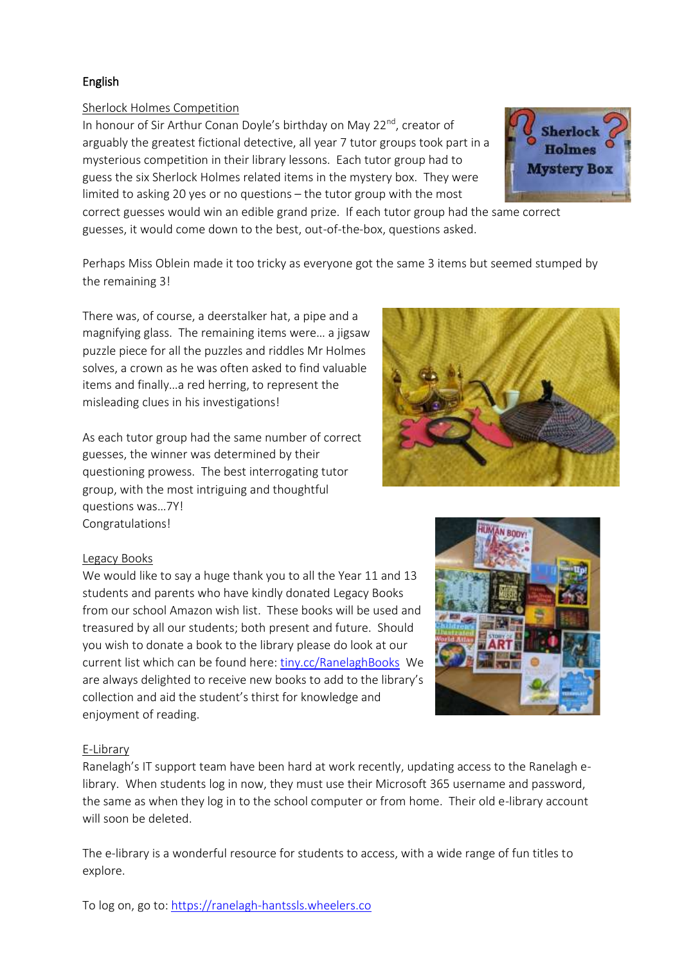# English

# Sherlock Holmes Competition

In honour of Sir Arthur Conan Doyle's birthday on May 22<sup>nd</sup>, creator of arguably the greatest fictional detective, all year 7 tutor groups took part in a mysterious competition in their library lessons. Each tutor group had to guess the six Sherlock Holmes related items in the mystery box. They were limited to asking 20 yes or no questions – the tutor group with the most



correct guesses would win an edible grand prize. If each tutor group had the same correct guesses, it would come down to the best, out-of-the-box, questions asked.

Perhaps Miss Oblein made it too tricky as everyone got the same 3 items but seemed stumped by the remaining 3!

There was, of course, a deerstalker hat, a pipe and a magnifying glass. The remaining items were… a jigsaw puzzle piece for all the puzzles and riddles Mr Holmes solves, a crown as he was often asked to find valuable items and finally…a red herring, to represent the misleading clues in his investigations!

As each tutor group had the same number of correct guesses, the winner was determined by their questioning prowess. The best interrogating tutor group, with the most intriguing and thoughtful questions was…7Y! Congratulations!

# Legacy Books

We would like to say a huge thank you to all the Year 11 and 13 students and parents who have kindly donated Legacy Books from our school Amazon wish list. These books will be used and treasured by all our students; both present and future. Should you wish to donate a book to the library please do look at our current list which can be found here: [tiny.cc/RanelaghBooks](http://tiny.cc/RanelaghBooks) We are always delighted to receive new books to add to the library's collection and aid the student's thirst for knowledge and enjoyment of reading.

# AN BOOY

## E-Library

Ranelagh's IT support team have been hard at work recently, updating access to the Ranelagh elibrary. When students log in now, they must use their Microsoft 365 username and password, the same as when they log in to the school computer or from home. Their old e-library account will soon be deleted.

The e-library is a wonderful resource for students to access, with a wide range of fun titles to explore.

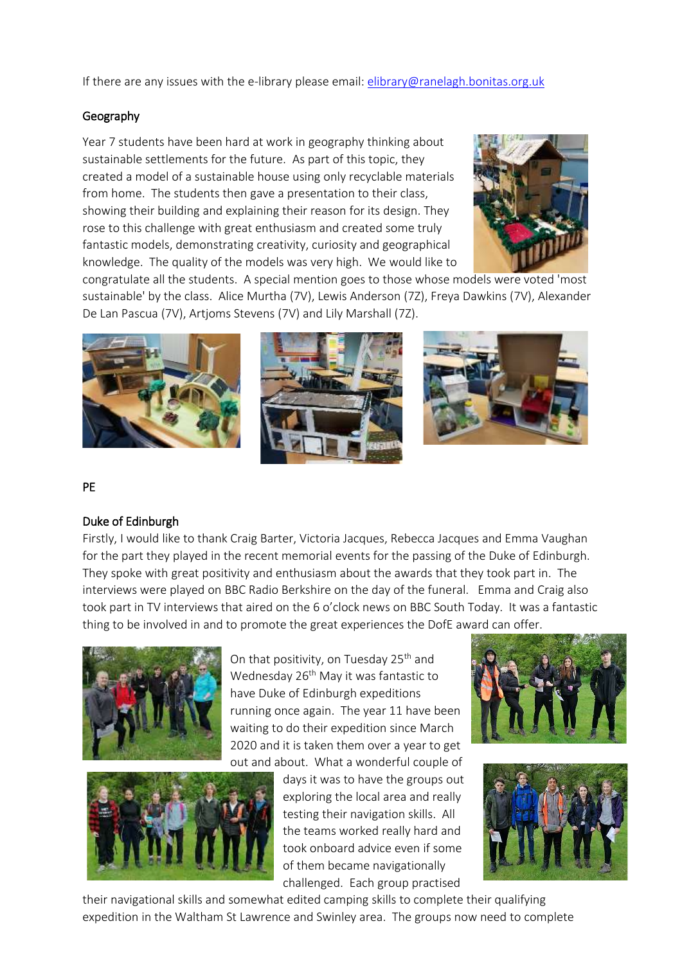If there are any issues with the e-library please email: [elibrary@ranelagh.bonitas.org.uk](mailto:elibrary@ranelagh.bonitas.org.uk)

## Geography

Year 7 students have been hard at work in geography thinking about sustainable settlements for the future. As part of this topic, they created a model of a sustainable house using only recyclable materials from home. The students then gave a presentation to their class, showing their building and explaining their reason for its design. They rose to this challenge with great enthusiasm and created some truly fantastic models, demonstrating creativity, curiosity and geographical knowledge. The quality of the models was very high. We would like to



congratulate all the students. A special mention goes to those whose models were voted 'most sustainable' by the class. Alice Murtha (7V), Lewis Anderson (7Z), Freya Dawkins (7V), Alexander De Lan Pascua (7V), Artjoms Stevens (7V) and Lily Marshall (7Z).



#### PE

## Duke of Edinburgh

Firstly, I would like to thank Craig Barter, Victoria Jacques, Rebecca Jacques and Emma Vaughan for the part they played in the recent memorial events for the passing of the Duke of Edinburgh. They spoke with great positivity and enthusiasm about the awards that they took part in. The interviews were played on BBC Radio Berkshire on the day of the funeral. Emma and Craig also took part in TV interviews that aired on the 6 o'clock news on BBC South Today. It was a fantastic thing to be involved in and to promote the great experiences the DofE award can offer.



On that positivity, on Tuesday 25<sup>th</sup> and Wednesday 26<sup>th</sup> May it was fantastic to have Duke of Edinburgh expeditions running once again. The year 11 have been waiting to do their expedition since March 2020 and it is taken them over a year to get out and about. What a wonderful couple of



days it was to have the groups out exploring the local area and really testing their navigation skills. All the teams worked really hard and took onboard advice even if some of them became navigationally challenged. Each group practised





their navigational skills and somewhat edited camping skills to complete their qualifying expedition in the Waltham St Lawrence and Swinley area. The groups now need to complete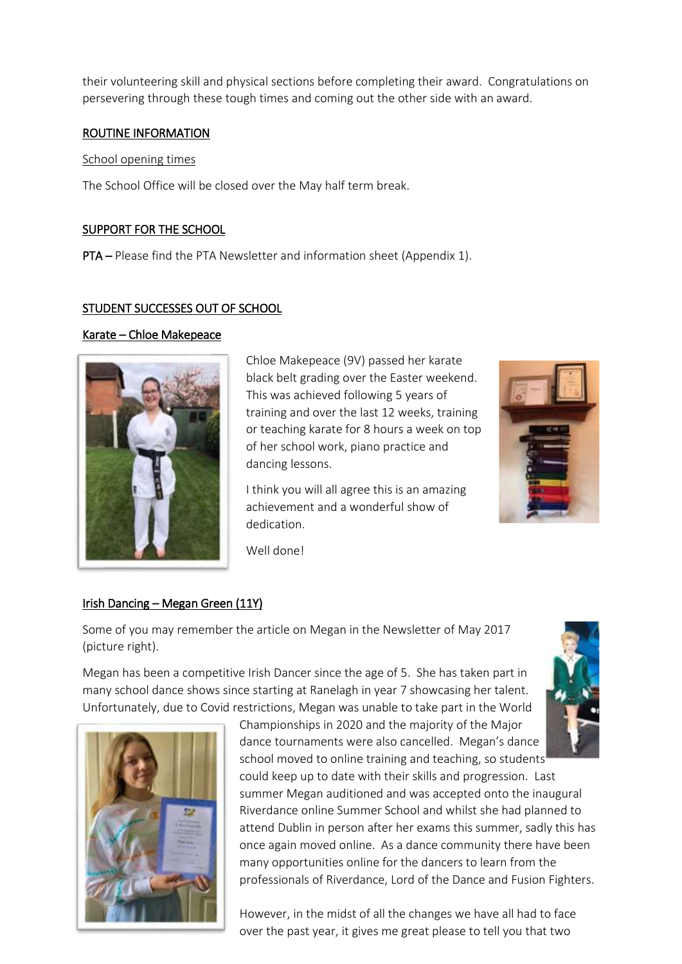their volunteering skill and physical sections before completing their award. Congratulations on persevering through these tough times and coming out the other side with an award.

#### ROUTINE INFORMATION

#### School opening times

The School Office will be closed over the May half term break.

## SUPPORT FOR THE SCHOOL

PTA – Please find the PTA Newsletter and information sheet (Appendix 1).

## STUDENT SUCCESSES OUT OF SCHOOL

## Karate – Chloe Makepeace



Chloe Makepeace (9V) passed her karate black belt grading over the Easter weekend. This was achieved following 5 years of training and over the last 12 weeks, training or teaching karate for 8 hours a week on top of her school work, piano practice and dancing lessons.

I think you will all agree this is an amazing achievement and a wonderful show of dedication.

Well done!

# Irish Dancing – Megan Green (11Y)

Some of you may remember the article on Megan in the Newsletter of May 2017 (picture right).

Megan has been a competitive Irish Dancer since the age of 5. She has taken part in many school dance shows since starting at Ranelagh in year 7 showcasing her talent. Unfortunately, due to Covid restrictions, Megan was unable to take part in the World





Championships in 2020 and the majority of the Major dance tournaments were also cancelled. Megan's dance school moved to online training and teaching, so students

could keep up to date with their skills and progression. Last summer Megan auditioned and was accepted onto the inaugural Riverdance online Summer School and whilst she had planned to attend Dublin in person after her exams this summer, sadly this has once again moved online. As a dance community there have been many opportunities online for the dancers to learn from the professionals of Riverdance, Lord of the Dance and Fusion Fighters.

However, in the midst of all the changes we have all had to face over the past year, it gives me great please to tell you that two

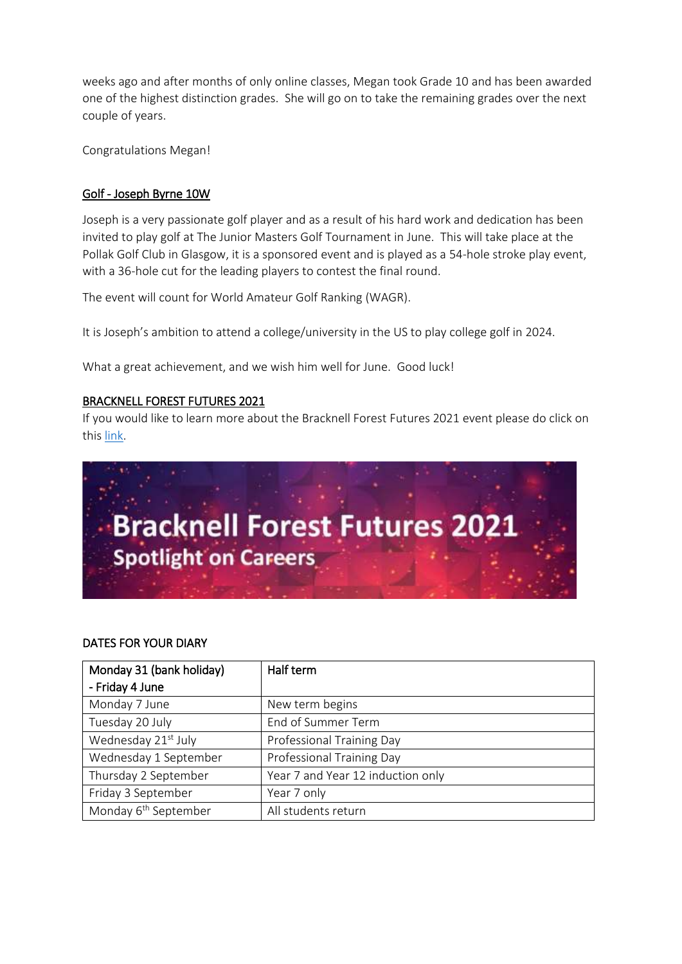weeks ago and after months of only online classes, Megan took Grade 10 and has been awarded one of the highest distinction grades. She will go on to take the remaining grades over the next couple of years.

Congratulations Megan!

## Golf - Joseph Byrne 10W

Joseph is a very passionate golf player and as a result of his hard work and dedication has been invited to play golf at The Junior Masters Golf Tournament in June. This will take place at the Pollak Golf Club in Glasgow, it is a sponsored event and is played as a 54-hole stroke play event, with a 36-hole cut for the leading players to contest the final round.

The event will count for World Amateur Golf Ranking (WAGR).

It is Joseph's ambition to attend a college/university in the US to play college golf in 2024.

What a great achievement, and we wish him well for June. Good luck!

#### BRACKNELL FOREST FUTURES 2021

If you would like to learn more about the Bracknell Forest Futures 2021 event please do click on this [link.](https://hopin.com/events/bracknell-forest-futures-2021)



#### DATES FOR YOUR DIARY

| Monday 31 (bank holiday)         | Half term                         |
|----------------------------------|-----------------------------------|
| - Friday 4 June                  |                                   |
| Monday 7 June                    | New term begins                   |
| Tuesday 20 July                  | End of Summer Term                |
| Wednesday 21st July              | Professional Training Day         |
| Wednesday 1 September            | Professional Training Day         |
| Thursday 2 September             | Year 7 and Year 12 induction only |
| Friday 3 September               | Year 7 only                       |
| Monday 6 <sup>th</sup> September | All students return               |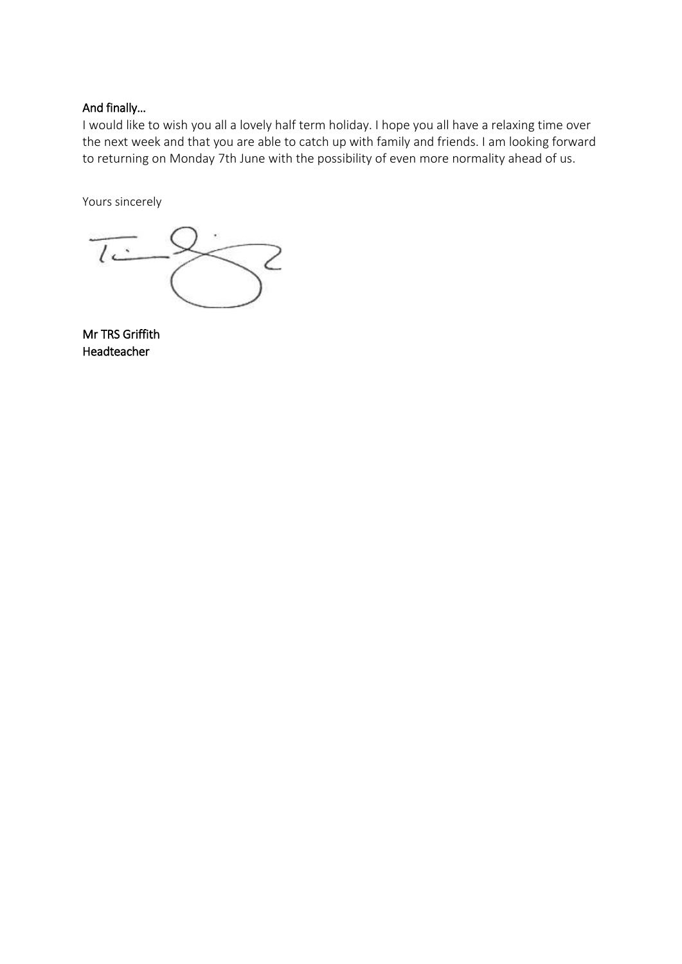# And finally…

I would like to wish you all a lovely half term holiday. I hope you all have a relaxing time over the next week and that you are able to catch up with family and friends. I am looking forward to returning on Monday 7th June with the possibility of even more normality ahead of us.

Yours sincerely

 $\overline{\overline{C}}$  $\smallsetminus$  2

Mr TRS Griffith Headteacher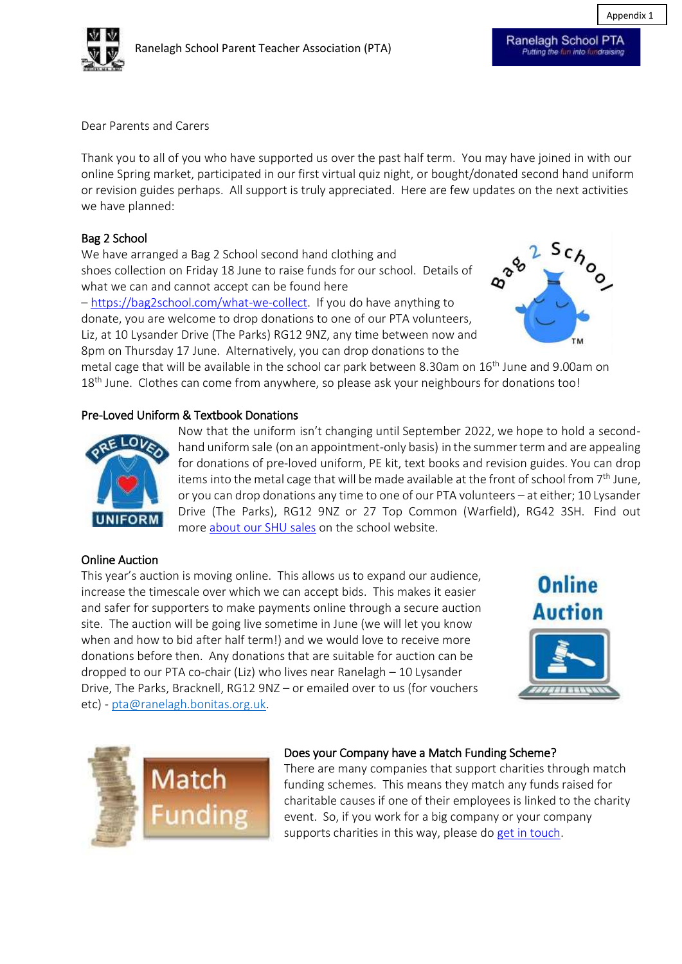

Appendix 1

Dear Parents and Carers 

Thank you to all of you who have supported us over the past half term. You may have joined in with our online Spring market, participated in our first virtual quiz night, or bought/donated second hand uniform or revision guides perhaps. All support is truly appreciated. Here are few updates on the next activities we have planned:

# Bag 2 School

We have arranged a Bag 2 School second hand clothing and shoes collection on Friday 18 June to raise funds for our school. Details of what we can and cannot accept can be found here – [https://bag2school.com/what-we-collect.](https://bag2school.com/what-we-collect) If you do have anything to donate, you are welcome to drop donations to one of our PTA volunteers,

Liz, at 10 Lysander Drive (The Parks) RG12 9NZ, any time between now and 8pm on Thursday 17 June.  Alternatively, you can drop donations to the



metal cage that will be available in the school car park between 8.30am on 16<sup>th</sup> June and 9.00am on 18<sup>th</sup> June. Clothes can come from anywhere, so please ask your neighbours for donations too!

## Pre-Loved Uniform & Textbook Donations



Now that the uniform isn't changing until September 2022, we hope to hold a secondhand uniform sale (on an appointment-only basis) in the summer term and are appealing for donations of pre-loved uniform, PE kit, text books and revision guides. You can drop items into the metal cage that will be made available at the front of school from  $7<sup>th</sup>$  June, or you can drop donations any time to one of our PTA volunteers – at either; 10 Lysander Drive (The Parks), RG12 9NZ or 27 Top Common (Warfield), RG42 3SH.  Find out more about our [SHU sales](https://ranelagh.bonitas.org.uk/associations/parent-teacher-association/second-hand-uniforms/) on the school website.

## Online Auction

This year's auction is moving online. This allows us to expand our audience, increase the timescale over which we can accept bids. This makes it easier and safer for supporters to make payments online through a secure auction site.  The auction will be going live sometime in June (we will let you know when and how to bid after half term!) and we would love to receive more donations before then. Any donations that are suitable for auction can be dropped to our PTA co-chair (Liz) who lives near Ranelagh – 10 Lysander Drive, The Parks, Bracknell, RG12 9NZ – or emailed over to us (for vouchers etc) - [pta@ranelagh.bonitas.org.uk.](mailto:pta@ranelagh.bonitas.org.uk)





## Does your Company have a Match Funding Scheme?

There are many companies that support charities through match funding schemes. This means they match any funds raised for charitable causes if one of their employees is linked to the charity event. So, if you work for a big company or your company supports charities in this way, please do[get in touch.](mailto:pta@ranelagh.bonitas.org.uk)